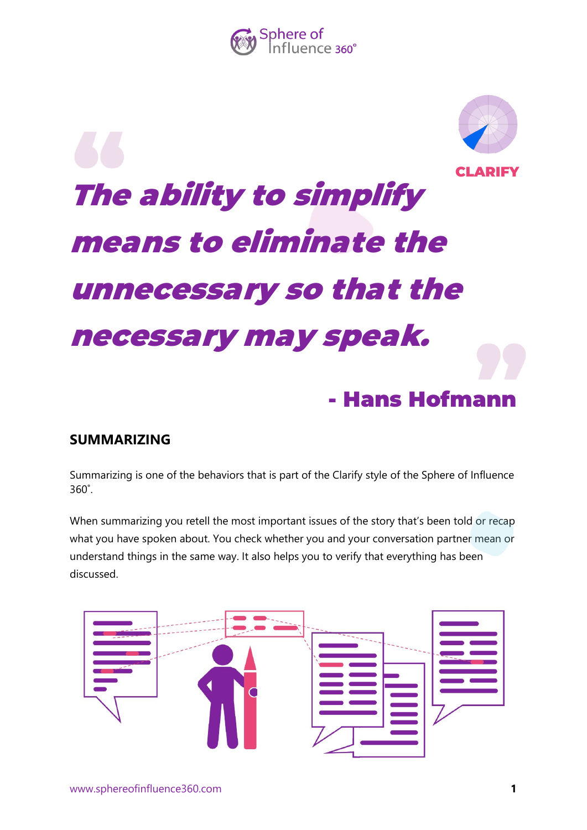

# [The ability to simplify](https://www.azquotes.com/quote/134530?ref=keep-it-simple)  [means to eliminate the](https://www.azquotes.com/quote/134530?ref=keep-it-simple)  [unnecessary so that the](https://www.azquotes.com/quote/134530?ref=keep-it-simple)  [necessary may speak.](https://www.azquotes.com/quote/134530?ref=keep-it-simple) - Hans Hofmann ADIEV

## **SUMMARIZING**

Summarizing is one of the behaviors that is part of the Clarify style of the Sphere of Influence 360˚.

When summarizing you retell the most important issues of the story that's been told or recap what you have spoken about. You check whether you and your conversation partner mean or understand things in the same way. It also helps you to verify that everything has been discussed.

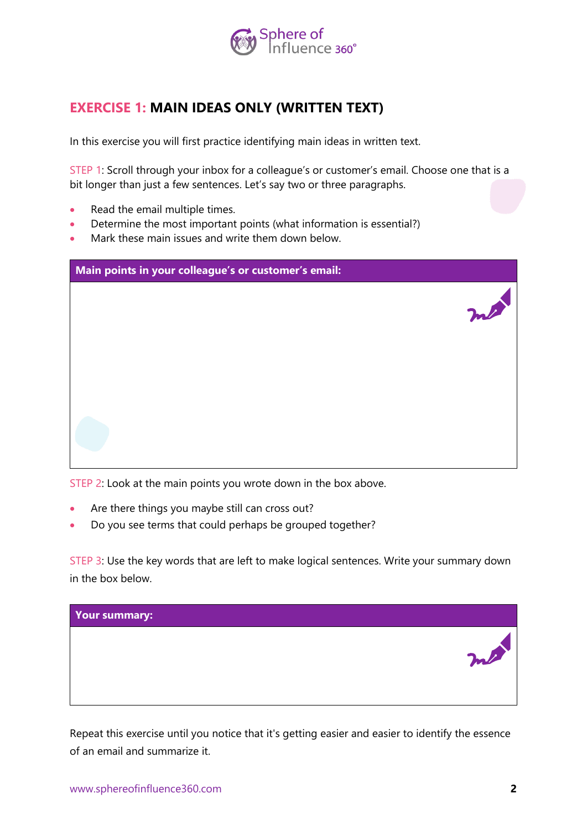

## **EXERCISE 1: MAIN IDEAS ONLY (WRITTEN TEXT)**

In this exercise you will first practice identifying main ideas in written text.

STEP 1: Scroll through your inbox for a colleague's or customer's email. Choose one that is a bit longer than just a few sentences. Let's say two or three paragraphs.

- Read the email multiple times.
- Determine the most important points (what information is essential?)
- Mark these main issues and write them down below.

| Main points in your colleague's or customer's email: |    |
|------------------------------------------------------|----|
|                                                      | me |
|                                                      |    |
|                                                      |    |
|                                                      |    |

STEP 2: Look at the main points you wrote down in the box above.

- Are there things you maybe still can cross out?
- Do you see terms that could perhaps be grouped together?

STEP 3: Use the key words that are left to make logical sentences. Write your summary down in the box below.



Repeat this exercise until you notice that it's getting easier and easier to identify the essence of an email and summarize it.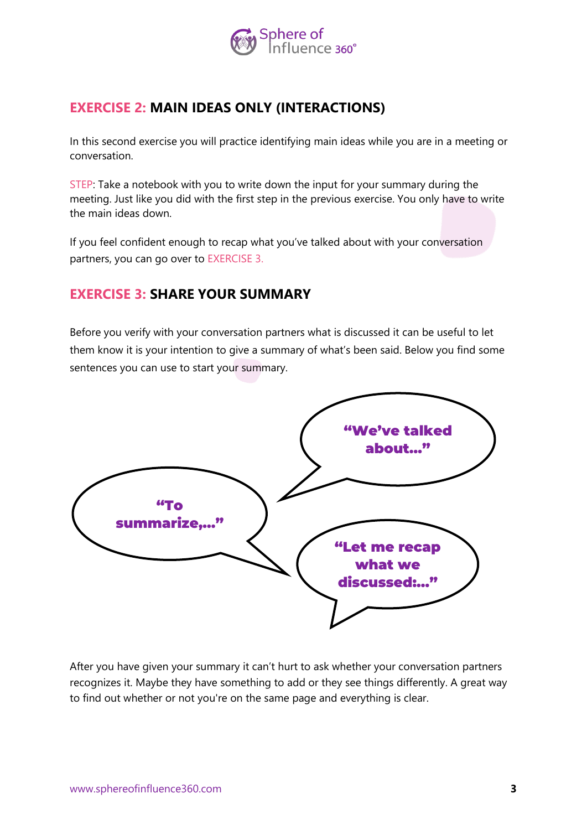

## **EXERCISE 2: MAIN IDEAS ONLY (INTERACTIONS)**

In this second exercise you will practice identifying main ideas while you are in a meeting or conversation.

STEP: Take a notebook with you to write down the input for your summary during the meeting. Just like you did with the first step in the previous exercise. You only have to write the main ideas down.

If you feel confident enough to recap what you've talked about with your conversation partners, you can go over to EXERCISE 3.

## **EXERCISE 3: SHARE YOUR SUMMARY**

Before you verify with your conversation partners what is discussed it can be useful to let them know it is your intention to give a summary of what's been said. Below you find some sentences you can use to start your summary.



After you have given your summary it can't hurt to ask whether your conversation partners recognizes it. Maybe they have something to add or they see things differently. A great way to find out whether or not you're on the same page and everything is clear.